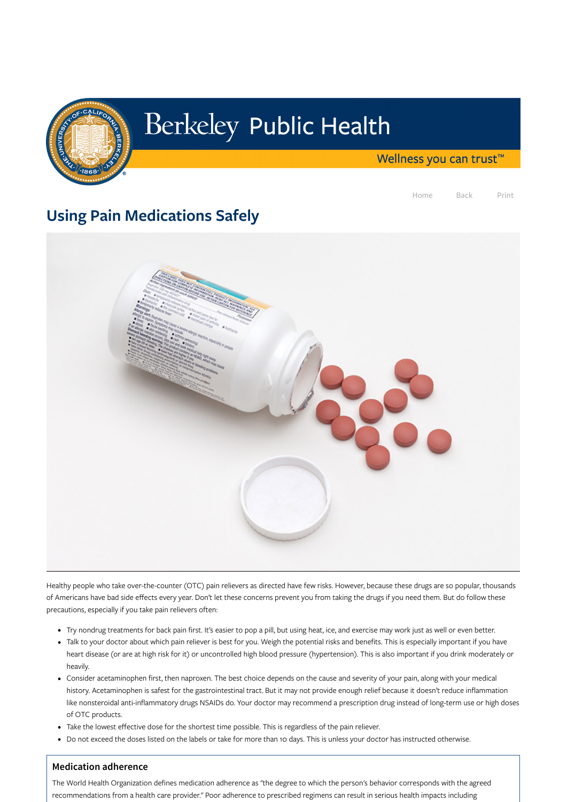

## Berkeley Public Health

Wellness you can trust<sup>™</sup>

Home Back Print

## Using Pain Medications Safely



Healthy people who take over-the-counter (OTC) pain relievers as directed have few risks. However, because these drugs are so popular, thousands of Americans have bad side effects every year. Don't let these concerns prevent you from taking the drugs if you need them. But do follow these

## precautions, especially if you take pain relievers often:

- Try nondrug treatments for back pain first. It's easier to pop a pill, but using heat, ice, and exercise may work just as well or even better.
- Talk to your doctor about which pain reliever is best for you. Weigh the potential risks and benefits. This is especially important if you have heart disease (or are at high risk for it) or uncontrolled high blood pressure (hypertension). This is also important if you drink moderately or heavily.
- Consider acetaminophen first, then naproxen. The best choice depends on the cause and severity of your pain, along with your medical history. Acetaminophen is safest for the gastrointestinal tract. But it may not provide enough relief because it doesn't reduce inflammation like nonsteroidal anti-inflammatory drugs NSAIDs do. Your doctor may recommend a prescription drug instead of long-term use or high doses of OTC products.
- Take the lowest effective dose for the shortest time possible. This is regardless of the pain reliever.
- Do not exceed the doses listed on the labels or take for more than 10 days. This is unless your doctor has instructed otherwise.

## **Medication adherence**

The World Health Organization defines medication adherence as "the degree to which the person's behavior corresponds with the agreed recommendations from a health care provider." Poor adherence to prescribed regimens can result in serious health impacts including